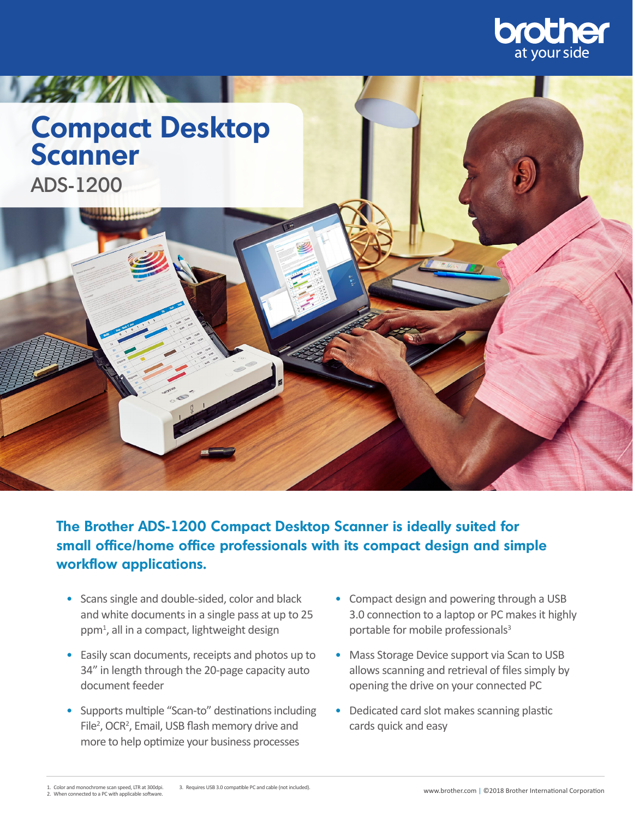

## **LASTER AND STATE Compact Desktop Scanner** ADS-1200

**The Brother ADS-1200 Compact Desktop Scanner is ideally suited for small office/home office professionals with its compact design and simple workflow applications.** 

- Scans single and double-sided, color and black and white documents in a single pass at up to 25 ppm1 , all in a compact, lightweight design
- Easily scan documents, receipts and photos up to 34" in length through the 20-page capacity auto document feeder
- Supports multiple "Scan-to" destinations including File<sup>2</sup>, OCR<sup>2</sup>, Email, USB flash memory drive and more to help optimize your business processes
- Compact design and powering through a USB 3.0 connection to a laptop or PC makes it highly portable for mobile professionals<sup>3</sup>
- Mass Storage Device support via Scan to USB allows scanning and retrieval of files simply by opening the drive on your connected PC
- Dedicated card slot makes scanning plastic cards quick and easy

<sup>1.</sup> Color and monochrome scan speed, LTR at 300dpi. 2. When connected to a PC with applicable software